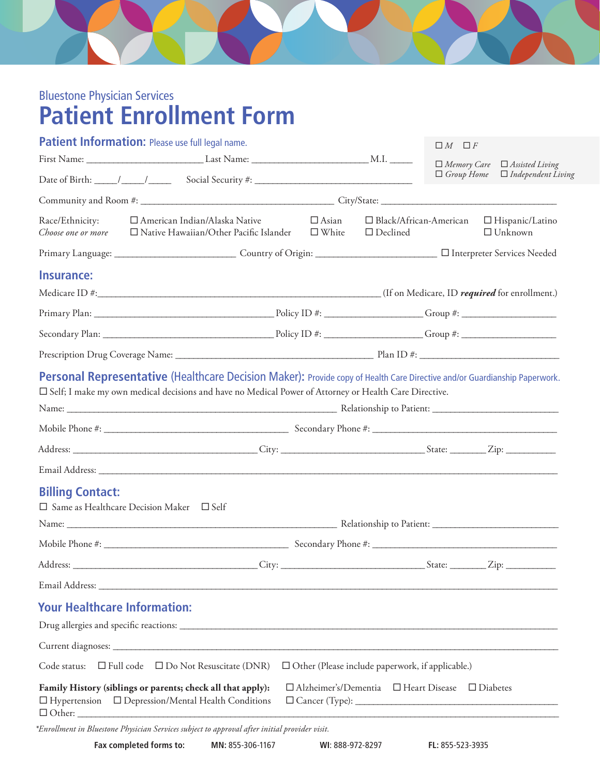

## Bluestone Physician Services **Patient Enrollment Form**

|                                       | Patient Information: Please use full legal name.                                                                                                                                                                                            |              |                                                                  | $\Box M$ $\Box F$                           |                                           |  |
|---------------------------------------|---------------------------------------------------------------------------------------------------------------------------------------------------------------------------------------------------------------------------------------------|--------------|------------------------------------------------------------------|---------------------------------------------|-------------------------------------------|--|
|                                       |                                                                                                                                                                                                                                             |              |                                                                  |                                             | $\Box$ Memory Care $\Box$ Assisted Living |  |
|                                       |                                                                                                                                                                                                                                             |              |                                                                  | $\Box$ Group Home $\Box$ Independent Living |                                           |  |
|                                       |                                                                                                                                                                                                                                             |              |                                                                  |                                             |                                           |  |
| Race/Ethnicity:<br>Choose one or more | $\Box$ American Indian/Alaska Native<br>$\Box$ Native Hawaiian/Other Pacific Islander $\Box$ White                                                                                                                                          | $\Box$ Asian | $\Box$ Black/African-American<br>$\Box$ Declined                 |                                             | $\Box$ Hispanic/Latino<br>$\Box$ Unknown  |  |
|                                       |                                                                                                                                                                                                                                             |              |                                                                  |                                             |                                           |  |
| Insurance:                            |                                                                                                                                                                                                                                             |              |                                                                  |                                             |                                           |  |
|                                       |                                                                                                                                                                                                                                             |              |                                                                  |                                             |                                           |  |
|                                       |                                                                                                                                                                                                                                             |              |                                                                  |                                             |                                           |  |
|                                       |                                                                                                                                                                                                                                             |              |                                                                  |                                             |                                           |  |
|                                       |                                                                                                                                                                                                                                             |              |                                                                  |                                             |                                           |  |
|                                       | <b>Personal Representative (Healthcare Decision Maker):</b> Provide copy of Health Care Directive and/or Guardianship Paperwork.<br>□ Self; I make my own medical decisions and have no Medical Power of Attorney or Health Care Directive. |              |                                                                  |                                             |                                           |  |
|                                       |                                                                                                                                                                                                                                             |              |                                                                  |                                             |                                           |  |
|                                       |                                                                                                                                                                                                                                             |              |                                                                  |                                             |                                           |  |
|                                       |                                                                                                                                                                                                                                             |              |                                                                  |                                             |                                           |  |
| <b>Billing Contact:</b>               | □ Same as Healthcare Decision Maker □ Self                                                                                                                                                                                                  |              |                                                                  |                                             |                                           |  |
|                                       |                                                                                                                                                                                                                                             |              |                                                                  |                                             |                                           |  |
|                                       |                                                                                                                                                                                                                                             |              |                                                                  |                                             |                                           |  |
|                                       |                                                                                                                                                                                                                                             |              |                                                                  |                                             |                                           |  |
|                                       |                                                                                                                                                                                                                                             |              |                                                                  |                                             |                                           |  |
| <b>Your Healthcare Information:</b>   |                                                                                                                                                                                                                                             |              |                                                                  |                                             |                                           |  |
|                                       |                                                                                                                                                                                                                                             |              |                                                                  |                                             |                                           |  |
| Code status:                          | $\Box$ Full code $\Box$ Do Not Resuscitate (DNR)                                                                                                                                                                                            |              | $\Box$ Other (Please include paperwork, if applicable.)          |                                             |                                           |  |
|                                       | Family History (siblings or parents; check all that apply):<br>$\Box$ Hypertension $\Box$ Depression/Mental Health Conditions                                                                                                               |              | $\Box$ Alzheimer's/Dementia $\Box$ Heart Disease $\Box$ Diabetes |                                             |                                           |  |
|                                       | *Enrollment in Bluestone Physician Services subject to approval after initial provider visit.                                                                                                                                               |              |                                                                  |                                             |                                           |  |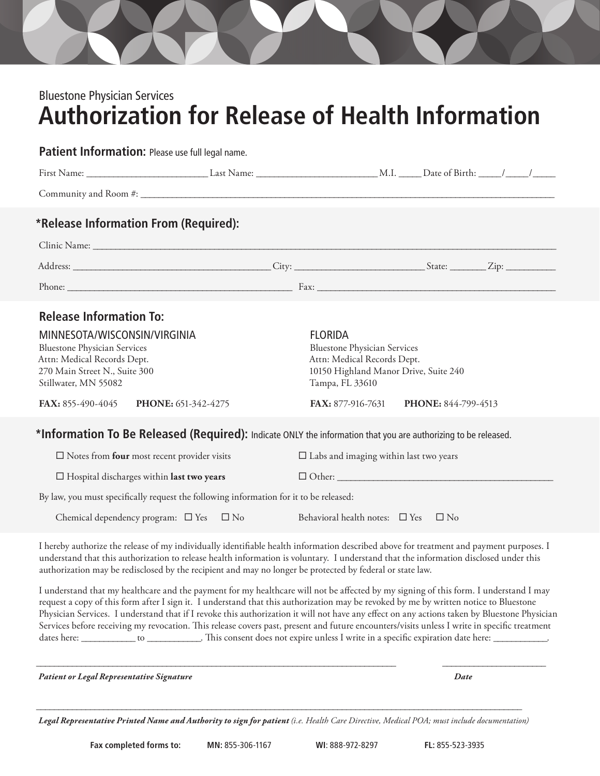## Bluestone Physician Services **Authorization for Release of Health Information**

Patient Information: Please use full legal name.

|                                                                                                                                                                                                                                           | *Release Information From (Required):                                                                                                   |                                                                                                                                                                                           |  |  |  |
|-------------------------------------------------------------------------------------------------------------------------------------------------------------------------------------------------------------------------------------------|-----------------------------------------------------------------------------------------------------------------------------------------|-------------------------------------------------------------------------------------------------------------------------------------------------------------------------------------------|--|--|--|
|                                                                                                                                                                                                                                           |                                                                                                                                         |                                                                                                                                                                                           |  |  |  |
|                                                                                                                                                                                                                                           |                                                                                                                                         |                                                                                                                                                                                           |  |  |  |
|                                                                                                                                                                                                                                           |                                                                                                                                         |                                                                                                                                                                                           |  |  |  |
| <b>Release Information To:</b><br>MINNESOTA/WISCONSIN/VIRGINIA<br><b>Bluestone Physician Services</b><br>Attn: Medical Records Dept.<br>270 Main Street N., Suite 300<br>Stillwater, MN 55082<br>FAX: 855-490-4045<br>PHONE: 651-342-4275 |                                                                                                                                         | <b>FLORIDA</b><br><b>Bluestone Physician Services</b><br>Attn: Medical Records Dept.<br>10150 Highland Manor Drive, Suite 240<br>Tampa, FL 33610<br>FAX: 877-916-7631 PHONE: 844-799-4513 |  |  |  |
|                                                                                                                                                                                                                                           | *Information To Be Released (Required): Indicate ONLY the information that you are authorizing to be released.                          |                                                                                                                                                                                           |  |  |  |
|                                                                                                                                                                                                                                           | $\square$ Notes from <b>four</b> most recent provider visits                                                                            | $\square$ Labs and imaging within last two years                                                                                                                                          |  |  |  |
| $\Box$ Hospital discharges within last two years                                                                                                                                                                                          |                                                                                                                                         | $\Box$ Other:                                                                                                                                                                             |  |  |  |
|                                                                                                                                                                                                                                           | By law, you must specifically request the following information for it to be released:                                                  |                                                                                                                                                                                           |  |  |  |
|                                                                                                                                                                                                                                           | Chemical dependency program: $\Box$ Yes $\Box$ No                                                                                       | Behavioral health notes: $\square$ Yes $\square$ No                                                                                                                                       |  |  |  |
|                                                                                                                                                                                                                                           | I hereby authorize the release of my individually identifiable health information described above for treatment and payment purposes. I |                                                                                                                                                                                           |  |  |  |

understand that this authorization to release health information is voluntary. I understand that the information disclosed under this authorization may be redisclosed by the recipient and may no longer be protected by federal or state law.

I understand that my healthcare and the payment for my healthcare will not be affected by my signing of this form. I understand I may request a copy of this form after I sign it. I understand that this authorization may be revoked by me by written notice to Bluestone Physician Services. I understand that if I revoke this authorization it will not have any effect on any actions taken by Bluestone Physician Services before receiving my revocation. This release covers past, present and future encounters/visits unless I write in specific treatment dates here: \_\_\_\_\_\_\_\_\_\_\_\_\_\_ to \_\_\_\_\_\_\_\_\_\_\_. This consent does not expire unless I write in a specific expiration date here: \_\_\_\_\_

\_\_\_\_\_\_\_\_\_\_\_\_\_\_\_\_\_\_\_\_\_\_\_\_\_\_\_\_\_\_\_\_\_\_\_\_\_\_\_\_\_\_\_\_\_\_\_\_\_\_\_\_\_\_\_\_\_\_\_\_\_\_\_\_\_\_\_\_\_\_\_\_\_\_\_\_\_\_\_\_ \_\_\_\_\_\_\_\_\_\_\_\_\_\_\_\_\_\_\_\_\_\_\_

*Patient or Legal Representative Signature Date*

\_\_\_\_\_\_\_\_\_\_\_\_\_\_\_\_\_\_\_\_\_\_\_\_\_\_\_\_\_\_\_\_\_\_\_\_\_\_\_\_\_\_\_\_\_\_\_\_\_\_\_\_\_\_\_\_\_\_\_\_\_\_\_\_\_\_\_\_\_\_\_\_\_\_\_\_\_\_\_\_\_\_\_\_\_\_\_\_\_\_\_\_\_\_\_\_\_\_\_\_\_\_\_\_\_\_\_\_ *Legal Representative Printed Name and Authority to sign for patient (i.e. Health Care Directive, Medical POA; must include documentation)*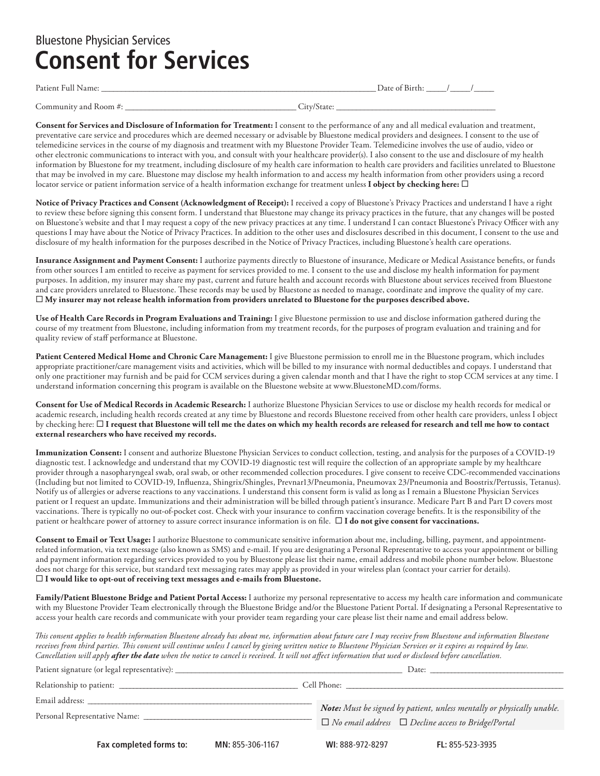### Bluestone Physician Services **Consent for Services**

| Pа<br>t i Ai<br>$\sim$<br>. | ы<br>. |  |
|-----------------------------|--------|--|
|                             |        |  |
|                             |        |  |

Community and Room #: \_\_\_\_\_\_\_\_\_\_\_\_\_\_\_\_\_\_\_\_\_\_\_\_\_\_\_\_\_\_\_\_\_\_\_\_\_\_\_\_\_\_\_ City/State: \_\_\_\_\_\_\_\_\_\_\_\_\_\_\_\_\_\_\_\_\_\_\_\_\_\_\_\_\_\_\_\_\_\_\_\_\_\_\_\_

**Consent for Services and Disclosure of Information for Treatment:** I consent to the performance of any and all medical evaluation and treatment, preventative care service and procedures which are deemed necessary or advisable by Bluestone medical providers and designees. I consent to the use of telemedicine services in the course of my diagnosis and treatment with my Bluestone Provider Team. Telemedicine involves the use of audio, video or other electronic communications to interact with you, and consult with your healthcare provider(s). I also consent to the use and disclosure of my health information by Bluestone for my treatment, including disclosure of my health care information to health care providers and facilities unrelated to Bluestone that may be involved in my care. Bluestone may disclose my health information to and access my health information from other providers using a record locator service or patient information service of a health information exchange for treatment unless **I object by checking here:** 

**Notice of Privacy Practices and Consent (Acknowledgment of Receipt):** I received a copy of Bluestone's Privacy Practices and understand I have a right to review these before signing this consent form. I understand that Bluestone may change its privacy practices in the future, that any changes will be posted on Bluestone's website and that I may request a copy of the new privacy practices at any time. I understand I can contact Bluestone's Privacy Officer with any questions I may have about the Notice of Privacy Practices. In addition to the other uses and disclosures described in this document, I consent to the use and disclosure of my health information for the purposes described in the Notice of Privacy Practices, including Bluestone's health care operations.

**Insurance Assignment and Payment Consent:** I authorize payments directly to Bluestone of insurance, Medicare or Medical Assistance benefits, or funds from other sources I am entitled to receive as payment for services provided to me. I consent to the use and disclose my health information for payment purposes. In addition, my insurer may share my past, current and future health and account records with Bluestone about services received from Bluestone and care providers unrelated to Bluestone. These records may be used by Bluestone as needed to manage, coordinate and improve the quality of my care.  **My insurer may not release health information from providers unrelated to Bluestone for the purposes described above.**

**Use of Health Care Records in Program Evaluations and Training:** I give Bluestone permission to use and disclose information gathered during the course of my treatment from Bluestone, including information from my treatment records, for the purposes of program evaluation and training and for quality review of staff performance at Bluestone.

**Patient Centered Medical Home and Chronic Care Management:** I give Bluestone permission to enroll me in the Bluestone program, which includes appropriate practitioner/care management visits and activities, which will be billed to my insurance with normal deductibles and copays. I understand that only one practitioner may furnish and be paid for CCM services during a given calendar month and that I have the right to stop CCM services at any time. I understand information concerning this program is available on the Bluestone website at www.BluestoneMD.com/forms.

**Consent for Use of Medical Records in Academic Research:** I authorize Bluestone Physician Services to use or disclose my health records for medical or academic research, including health records created at any time by Bluestone and records Bluestone received from other health care providers, unless I object by checking here:  **I request that Bluestone will tell me the dates on which my health records are released for research and tell me how to contact external researchers who have received my records.**

**Immunization Consent:** I consent and authorize Bluestone Physician Services to conduct collection, testing, and analysis for the purposes of a COVID-19 diagnostic test. I acknowledge and understand that my COVID-19 diagnostic test will require the collection of an appropriate sample by my healthcare provider through a nasopharyngeal swab, oral swab, or other recommended collection procedures. I give consent to receive CDC-recommended vaccinations (Including but not limited to COVID-19, Influenza, Shingrix/Shingles, Prevnar13/Pneumonia, Pneumovax 23/Pneumonia and Boostrix/Pertussis, Tetanus). Notify us of allergies or adverse reactions to any vaccinations. I understand this consent form is valid as long as I remain a Bluestone Physician Services patient or I request an update. Immunizations and their administration will be billed through patient's insurance. Medicare Part B and Part D covers most vaccinations. There is typically no out-of-pocket cost. Check with your insurance to confirm vaccination coverage benefits. It is the responsibility of the patient or healthcare power of attorney to assure correct insurance information is on file. **I do not give consent for vaccinations.**

**Consent to Email or Text Usage:** I authorize Bluestone to communicate sensitive information about me, including, billing, payment, and appointmentrelated information, via text message (also known as SMS) and e-mail. If you are designating a Personal Representative to access your appointment or billing and payment information regarding services provided to you by Bluestone please list their name, email address and mobile phone number below. Bluestone does not charge for this service, but standard text messaging rates may apply as provided in your wireless plan (contact your carrier for details). **I would like to opt-out of receiving text messages and e-mails from Bluestone.**

**Family/Patient Bluestone Bridge and Patient Portal Access:** I authorize my personal representative to access my health care information and communicate with my Bluestone Provider Team electronically through the Bluestone Bridge and/or the Bluestone Patient Portal. If designating a Personal Representative to access your health care records and communicate with your provider team regarding your care please list their name and email address below.

*This consent applies to health information Bluestone already has about me, information about future care I may receive from Bluestone and information Bluestone receives from third parties. This consent will continue unless I cancel by giving written notice to Bluestone Physician Services or it expires as required by law. Cancellation will apply after the date when the notice to cancel is received. It will not affect information that used or disclosed before cancellation.* 

|                                                                                                                                                                                                                                                                 |                  | Date:<br>the control of the control of the control of the control of the control of the control of |                                                                                                                                          |  |
|-----------------------------------------------------------------------------------------------------------------------------------------------------------------------------------------------------------------------------------------------------------------|------------------|----------------------------------------------------------------------------------------------------|------------------------------------------------------------------------------------------------------------------------------------------|--|
|                                                                                                                                                                                                                                                                 |                  | Cell Phone:                                                                                        |                                                                                                                                          |  |
| Email address: the contract of the contract of the contract of the contract of the contract of the contract of the contract of the contract of the contract of the contract of the contract of the contract of the contract of<br>Personal Representative Name: |                  |                                                                                                    | Note: Must be signed by patient, unless mentally or physically unable.<br>$\Box$ No email address $\Box$ Decline access to Bridge/Portal |  |
| Fax completed forms to:                                                                                                                                                                                                                                         | MN: 855-306-1167 | WI: 888-972-8297                                                                                   | FL: 855-523-3935                                                                                                                         |  |